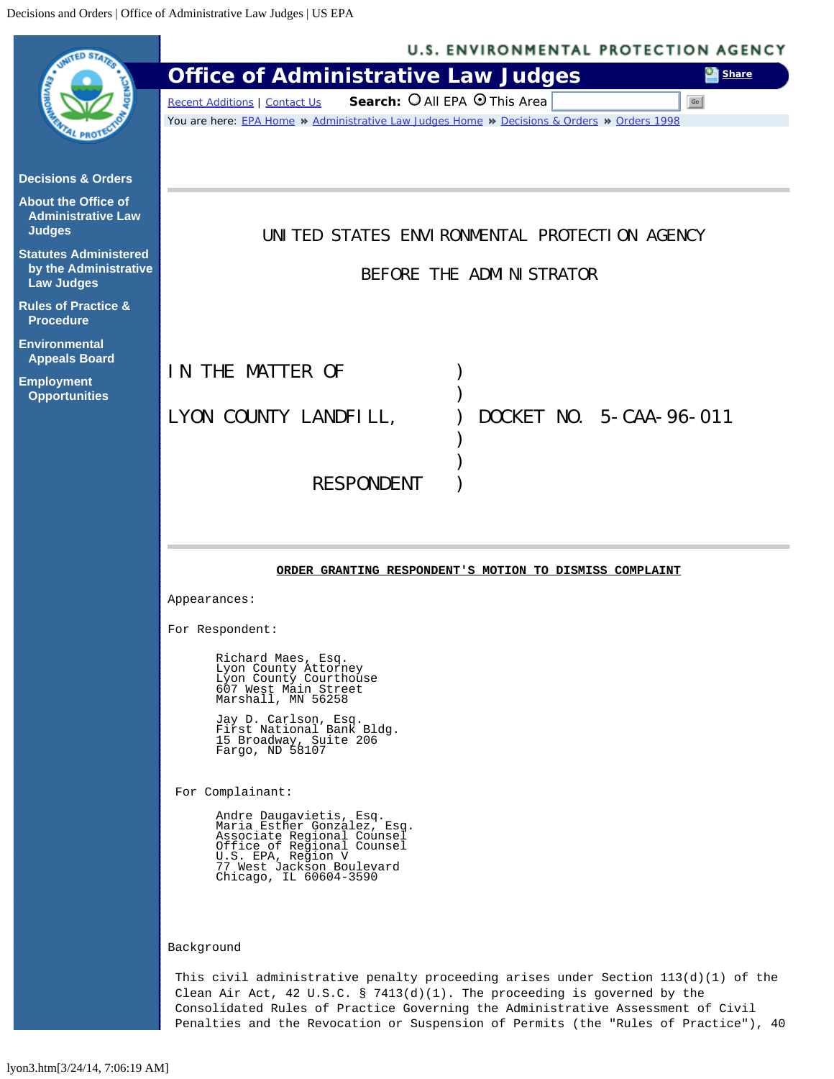<span id="page-0-0"></span>

| <b>WED STAP</b>                                                            | <b>U.S. ENVIRONMENTAL PROTECTION AGENCY</b>                                                                                                                                                                                                                                                                                                |
|----------------------------------------------------------------------------|--------------------------------------------------------------------------------------------------------------------------------------------------------------------------------------------------------------------------------------------------------------------------------------------------------------------------------------------|
|                                                                            | <b>Office of Administrative Law Judges</b><br><b>Share</b>                                                                                                                                                                                                                                                                                 |
|                                                                            | Search: O All EPA O This Area<br><b>Recent Additions   Contact Us</b><br>Go                                                                                                                                                                                                                                                                |
|                                                                            | You are here: EPA Home » Administrative Law Judges Home » Decisions & Orders » Orders 1998                                                                                                                                                                                                                                                 |
| <b>Decisions &amp; Orders</b>                                              |                                                                                                                                                                                                                                                                                                                                            |
| <b>About the Office of</b><br><b>Administrative Law</b><br><b>Judges</b>   | UNITED STATES ENVIRONMENTAL PROTECTION AGENCY                                                                                                                                                                                                                                                                                              |
| <b>Statutes Administered</b><br>by the Administrative<br><b>Law Judges</b> | BEFORE THE ADMINISTRATOR                                                                                                                                                                                                                                                                                                                   |
| <b>Rules of Practice &amp;</b><br><b>Procedure</b>                         |                                                                                                                                                                                                                                                                                                                                            |
| <b>Environmental</b><br><b>Appeals Board</b>                               |                                                                                                                                                                                                                                                                                                                                            |
| <b>Employment</b><br><b>Opportunities</b>                                  | IN THE MATTER OF                                                                                                                                                                                                                                                                                                                           |
|                                                                            | LYON COUNTY LANDFILL,<br>DOCKET NO. 5-CAA-96-011                                                                                                                                                                                                                                                                                           |
|                                                                            |                                                                                                                                                                                                                                                                                                                                            |
|                                                                            |                                                                                                                                                                                                                                                                                                                                            |
|                                                                            | <b>RESPONDENT</b>                                                                                                                                                                                                                                                                                                                          |
|                                                                            |                                                                                                                                                                                                                                                                                                                                            |
|                                                                            |                                                                                                                                                                                                                                                                                                                                            |
|                                                                            | ORDER GRANTING RESPONDENT'S MOTION TO DISMISS COMPLAINT                                                                                                                                                                                                                                                                                    |
|                                                                            | Appearances:                                                                                                                                                                                                                                                                                                                               |
|                                                                            | For Respondent:                                                                                                                                                                                                                                                                                                                            |
|                                                                            | Richard Maes, Esq.<br>Lyon County Attorney<br>Lyon County Courthouse<br>607 West Main Street<br>Marshall, MN 56258                                                                                                                                                                                                                         |
|                                                                            | Jay D. Carlson, Esq.<br>First National Bank Bldg.<br>15 Broadway, Suite 206<br>Fargo, ND 58107                                                                                                                                                                                                                                             |
|                                                                            | For Complainant:                                                                                                                                                                                                                                                                                                                           |
|                                                                            | Andre Daugavietis, Esq.<br>Maria Esther Gonzalez, Esq.<br>Associate Regional Counsel<br>Office of Regional Counsel<br>U.S. EPA, Region V<br>77 West Jackson Boulevard<br>Chicago, IL 60604-3590                                                                                                                                            |
|                                                                            | Background                                                                                                                                                                                                                                                                                                                                 |
|                                                                            | This civil administrative penalty proceeding arises under Section $113(d)(1)$ of the<br>Clean Air Act, 42 U.S.C. § 7413(d)(1). The proceeding is governed by the<br>Consolidated Rules of Practice Governing the Administrative Assessment of Civil<br>Penalties and the Revocation or Suspension of Permits (the "Rules of Practice"), 40 |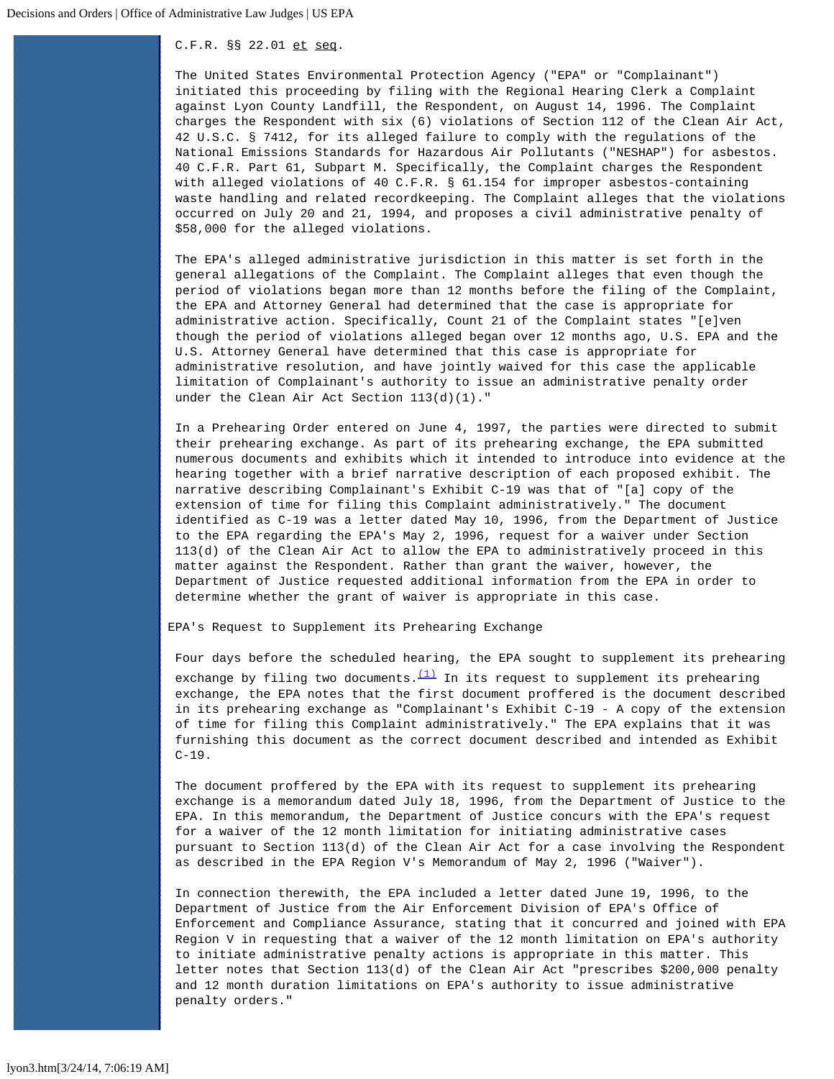## C.F.R. §§ 22.01 et seq.

The United States Environmental Protection Agency ("EPA" or "Complainant") initiated this proceeding by filing with the Regional Hearing Clerk a Complaint against Lyon County Landfill, the Respondent, on August 14, 1996. The Complaint charges the Respondent with six (6) violations of Section 112 of the Clean Air Act, 42 U.S.C. § 7412, for its alleged failure to comply with the regulations of the National Emissions Standards for Hazardous Air Pollutants ("NESHAP") for asbestos. 40 C.F.R. Part 61, Subpart M. Specifically, the Complaint charges the Respondent with alleged violations of 40 C.F.R. § 61.154 for improper asbestos-containing waste handling and related recordkeeping. The Complaint alleges that the violations occurred on July 20 and 21, 1994, and proposes a civil administrative penalty of \$58,000 for the alleged violations.

The EPA's alleged administrative jurisdiction in this matter is set forth in the general allegations of the Complaint. The Complaint alleges that even though the period of violations began more than 12 months before the filing of the Complaint, the EPA and Attorney General had determined that the case is appropriate for administrative action. Specifically, Count 21 of the Complaint states "[e]ven though the period of violations alleged began over 12 months ago, U.S. EPA and the U.S. Attorney General have determined that this case is appropriate for administrative resolution, and have jointly waived for this case the applicable limitation of Complainant's authority to issue an administrative penalty order under the Clean Air Act Section 113(d)(1)."

In a Prehearing Order entered on June 4, 1997, the parties were directed to submit their prehearing exchange. As part of its prehearing exchange, the EPA submitted numerous documents and exhibits which it intended to introduce into evidence at the hearing together with a brief narrative description of each proposed exhibit. The narrative describing Complainant's Exhibit C-19 was that of "[a] copy of the extension of time for filing this Complaint administratively." The document identified as C-19 was a letter dated May 10, 1996, from the Department of Justice to the EPA regarding the EPA's May 2, 1996, request for a waiver under Section 113(d) of the Clean Air Act to allow the EPA to administratively proceed in this matter against the Respondent. Rather than grant the waiver, however, the Department of Justice requested additional information from the EPA in order to determine whether the grant of waiver is appropriate in this case.

EPA's Request to Supplement its Prehearing Exchange

Four days before the scheduled hearing, the EPA sought to supplement its prehearing exchange by filing two documents. $(1)$  In its request to supplement its prehearing exchange, the EPA notes that the first document proffered is the document described in its prehearing exchange as "Complainant's Exhibit C-19 - A copy of the extension of time for filing this Complaint administratively." The EPA explains that it was furnishing this document as the correct document described and intended as Exhibit  $C-19$ .

The document proffered by the EPA with its request to supplement its prehearing exchange is a memorandum dated July 18, 1996, from the Department of Justice to the EPA. In this memorandum, the Department of Justice concurs with the EPA's request for a waiver of the 12 month limitation for initiating administrative cases pursuant to Section 113(d) of the Clean Air Act for a case involving the Respondent as described in the EPA Region V's Memorandum of May 2, 1996 ("Waiver").

In connection therewith, the EPA included a letter dated June 19, 1996, to the Department of Justice from the Air Enforcement Division of EPA's Office of Enforcement and Compliance Assurance, stating that it concurred and joined with EPA Region V in requesting that a waiver of the 12 month limitation on EPA's authority to initiate administrative penalty actions is appropriate in this matter. This letter notes that Section 113(d) of the Clean Air Act "prescribes \$200,000 penalty and 12 month duration limitations on EPA's authority to issue administrative penalty orders."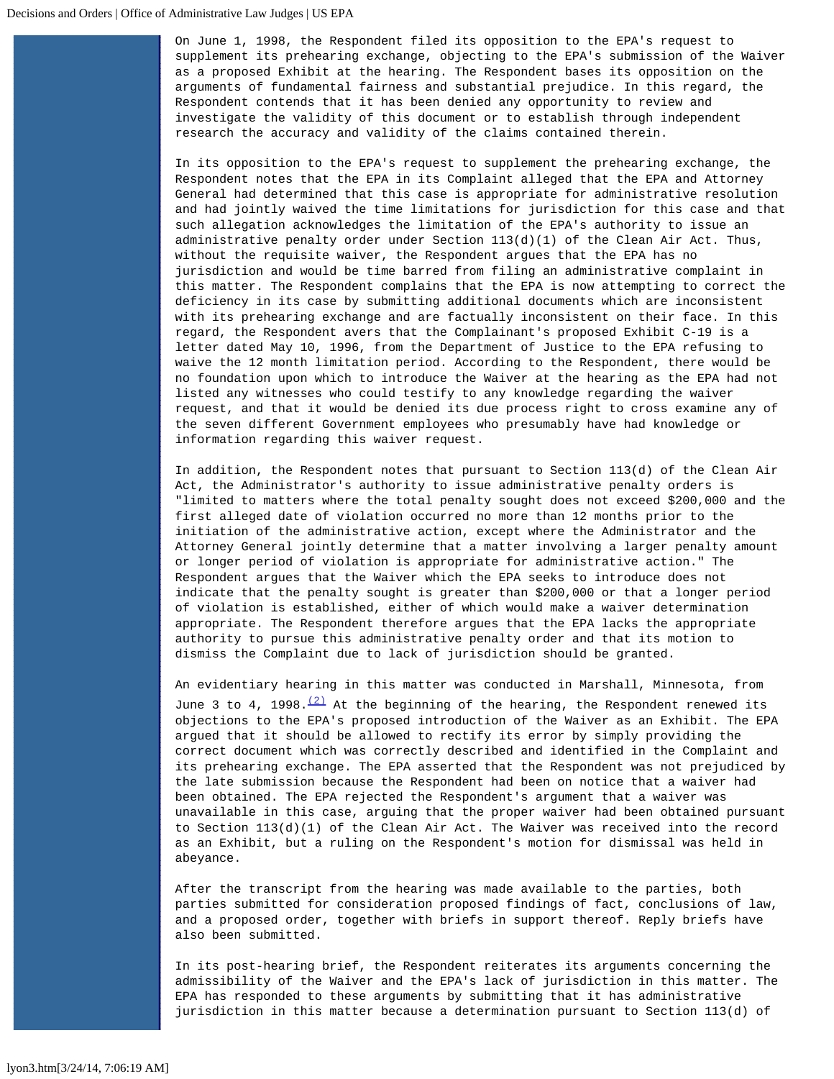On June 1, 1998, the Respondent filed its opposition to the EPA's request to supplement its prehearing exchange, objecting to the EPA's submission of the Waiver as a proposed Exhibit at the hearing. The Respondent bases its opposition on the arguments of fundamental fairness and substantial prejudice. In this regard, the Respondent contends that it has been denied any opportunity to review and investigate the validity of this document or to establish through independent research the accuracy and validity of the claims contained therein.

In its opposition to the EPA's request to supplement the prehearing exchange, the Respondent notes that the EPA in its Complaint alleged that the EPA and Attorney General had determined that this case is appropriate for administrative resolution and had jointly waived the time limitations for jurisdiction for this case and that such allegation acknowledges the limitation of the EPA's authority to issue an administrative penalty order under Section 113(d)(1) of the Clean Air Act. Thus, without the requisite waiver, the Respondent argues that the EPA has no jurisdiction and would be time barred from filing an administrative complaint in this matter. The Respondent complains that the EPA is now attempting to correct the deficiency in its case by submitting additional documents which are inconsistent with its prehearing exchange and are factually inconsistent on their face. In this regard, the Respondent avers that the Complainant's proposed Exhibit C-19 is a letter dated May 10, 1996, from the Department of Justice to the EPA refusing to waive the 12 month limitation period. According to the Respondent, there would be no foundation upon which to introduce the Waiver at the hearing as the EPA had not listed any witnesses who could testify to any knowledge regarding the waiver request, and that it would be denied its due process right to cross examine any of the seven different Government employees who presumably have had knowledge or information regarding this waiver request.

In addition, the Respondent notes that pursuant to Section 113(d) of the Clean Air Act, the Administrator's authority to issue administrative penalty orders is "limited to matters where the total penalty sought does not exceed \$200,000 and the first alleged date of violation occurred no more than 12 months prior to the initiation of the administrative action, except where the Administrator and the Attorney General jointly determine that a matter involving a larger penalty amount or longer period of violation is appropriate for administrative action." The Respondent argues that the Waiver which the EPA seeks to introduce does not indicate that the penalty sought is greater than \$200,000 or that a longer period of violation is established, either of which would make a waiver determination appropriate. The Respondent therefore argues that the EPA lacks the appropriate authority to pursue this administrative penalty order and that its motion to dismiss the Complaint due to lack of jurisdiction should be granted.

An evidentiary hearing in this matter was conducted in Marshall, Minnesota, from

June 3 to 4, 1998. $\frac{(2)}{1}$  $\frac{(2)}{1}$  $\frac{(2)}{1}$  At the beginning of the hearing, the Respondent renewed its objections to the EPA's proposed introduction of the Waiver as an Exhibit. The EPA argued that it should be allowed to rectify its error by simply providing the correct document which was correctly described and identified in the Complaint and its prehearing exchange. The EPA asserted that the Respondent was not prejudiced by the late submission because the Respondent had been on notice that a waiver had been obtained. The EPA rejected the Respondent's argument that a waiver was unavailable in this case, arguing that the proper waiver had been obtained pursuant to Section 113(d)(1) of the Clean Air Act. The Waiver was received into the record as an Exhibit, but a ruling on the Respondent's motion for dismissal was held in abeyance.

After the transcript from the hearing was made available to the parties, both parties submitted for consideration proposed findings of fact, conclusions of law, and a proposed order, together with briefs in support thereof. Reply briefs have also been submitted.

In its post-hearing brief, the Respondent reiterates its arguments concerning the admissibility of the Waiver and the EPA's lack of jurisdiction in this matter. The EPA has responded to these arguments by submitting that it has administrative jurisdiction in this matter because a determination pursuant to Section 113(d) of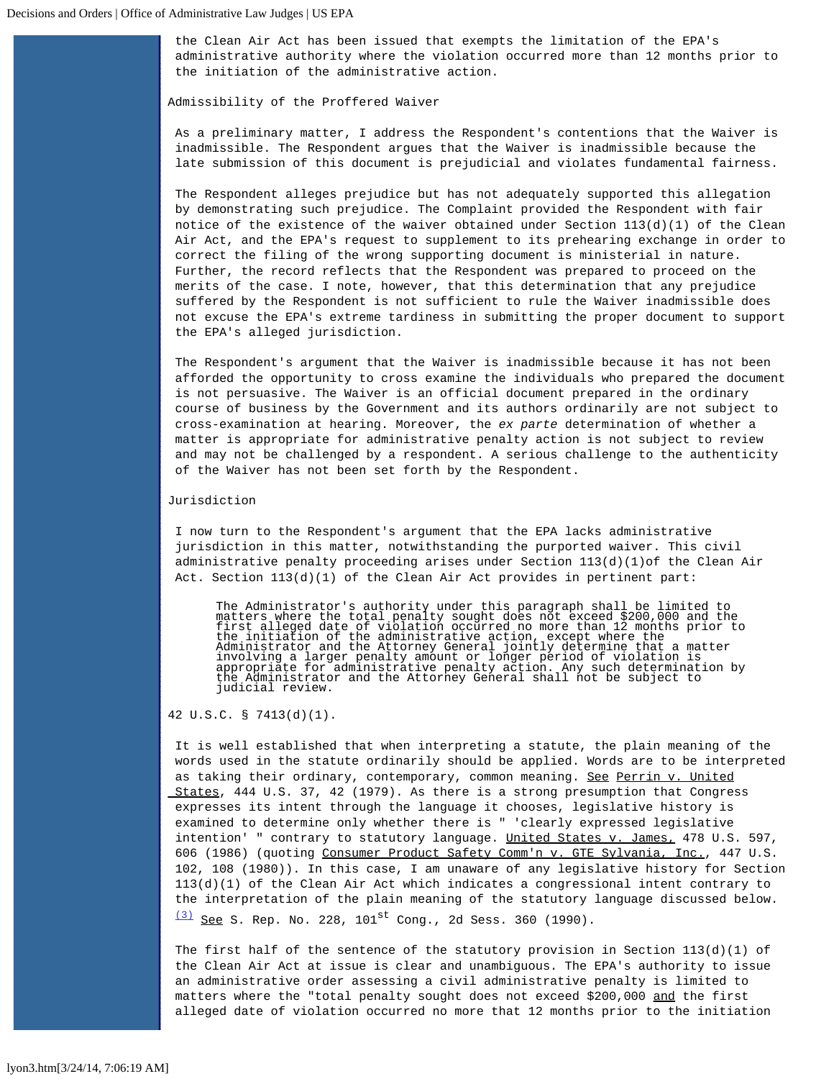the Clean Air Act has been issued that exempts the limitation of the EPA's administrative authority where the violation occurred more than 12 months prior to the initiation of the administrative action.

Admissibility of the Proffered Waiver

As a preliminary matter, I address the Respondent's contentions that the Waiver is inadmissible. The Respondent argues that the Waiver is inadmissible because the late submission of this document is prejudicial and violates fundamental fairness.

The Respondent alleges prejudice but has not adequately supported this allegation by demonstrating such prejudice. The Complaint provided the Respondent with fair notice of the existence of the waiver obtained under Section 113(d)(1) of the Clean Air Act, and the EPA's request to supplement to its prehearing exchange in order to correct the filing of the wrong supporting document is ministerial in nature. Further, the record reflects that the Respondent was prepared to proceed on the merits of the case. I note, however, that this determination that any prejudice suffered by the Respondent is not sufficient to rule the Waiver inadmissible does not excuse the EPA's extreme tardiness in submitting the proper document to support the EPA's alleged jurisdiction.

The Respondent's argument that the Waiver is inadmissible because it has not been afforded the opportunity to cross examine the individuals who prepared the document is not persuasive. The Waiver is an official document prepared in the ordinary course of business by the Government and its authors ordinarily are not subject to cross-examination at hearing. Moreover, the *ex parte* determination of whether a matter is appropriate for administrative penalty action is not subject to review and may not be challenged by a respondent. A serious challenge to the authenticity of the Waiver has not been set forth by the Respondent.

## Jurisdiction

I now turn to the Respondent's argument that the EPA lacks administrative jurisdiction in this matter, notwithstanding the purported waiver. This civil administrative penalty proceeding arises under Section 113(d)(1)of the Clean Air Act. Section  $113(d)(1)$  of the Clean Air Act provides in pertinent part:

The Administrator's authority under this paragraph shall be limited to<br>matters where the total penalty sought does not exceed \$200,000 and the<br>first alleged date of violation occurred no more than 12 months prior to<br>the in involving a larger penalty amount or longer period of violation is appropriate for administrative penalty action. Any such determination by the Administrator and the Attorney General shall not be subject to judicial review.

## 42 U.S.C. § 7413(d)(1).

It is well established that when interpreting a statute, the plain meaning of the words used in the statute ordinarily should be applied. Words are to be interpreted as taking their ordinary, contemporary, common meaning. See Perrin v. United States, 444 U.S. 37, 42 (1979). As there is a strong presumption that Congress expresses its intent through the language it chooses, legislative history is examined to determine only whether there is " 'clearly expressed legislative intention' " contrary to statutory language. United States v. James, 478 U.S. 597, 606 (1986) (quoting Consumer Product Safety Comm'n v. GTE Sylvania, Inc., 447 U.S. 102, 108 (1980)). In this case, I am unaware of any legislative history for Section 113(d)(1) of the Clean Air Act which indicates a congressional intent contrary to the interpretation of the plain meaning of the statutory language discussed below.  $(3)$  See S. Rep. No. 228, 101<sup>st</sup> Cong., 2d Sess. 360 (1990).

The first half of the sentence of the statutory provision in Section  $113(d)(1)$  of the Clean Air Act at issue is clear and unambiguous. The EPA's authority to issue an administrative order assessing a civil administrative penalty is limited to matters where the "total penalty sought does not exceed \$200,000 and the first alleged date of violation occurred no more that 12 months prior to the initiation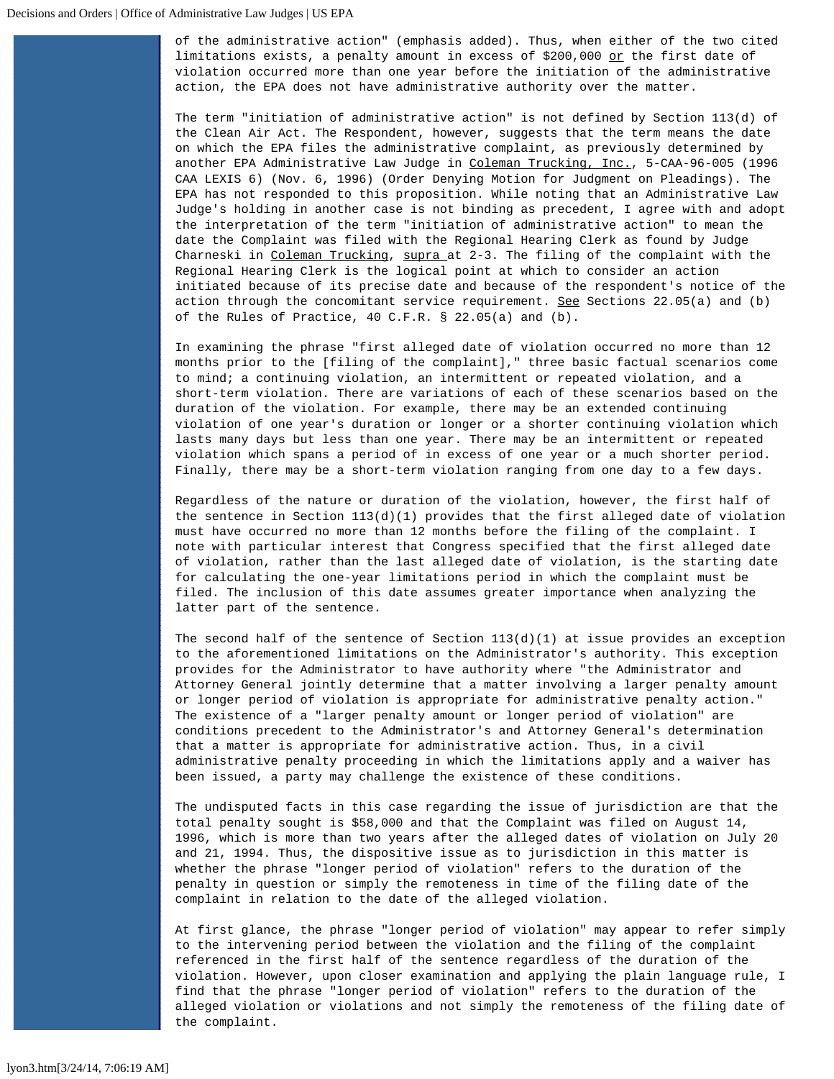of the administrative action" (emphasis added). Thus, when either of the two cited limitations exists, a penalty amount in excess of \$200,000 or the first date of violation occurred more than one year before the initiation of the administrative action, the EPA does not have administrative authority over the matter.

The term "initiation of administrative action" is not defined by Section 113(d) of the Clean Air Act. The Respondent, however, suggests that the term means the date on which the EPA files the administrative complaint, as previously determined by another EPA Administrative Law Judge in Coleman Trucking, Inc., 5-CAA-96-005 (1996 CAA LEXIS 6) (Nov. 6, 1996) (Order Denying Motion for Judgment on Pleadings). The EPA has not responded to this proposition. While noting that an Administrative Law Judge's holding in another case is not binding as precedent, I agree with and adopt the interpretation of the term "initiation of administrative action" to mean the date the Complaint was filed with the Regional Hearing Clerk as found by Judge Charneski in Coleman Trucking, supra at 2-3. The filing of the complaint with the Regional Hearing Clerk is the logical point at which to consider an action initiated because of its precise date and because of the respondent's notice of the action through the concomitant service requirement. See Sections  $22.05(a)$  and (b) of the Rules of Practice, 40 C.F.R. § 22.05(a) and (b).

In examining the phrase "first alleged date of violation occurred no more than 12 months prior to the [filing of the complaint]," three basic factual scenarios come to mind; a continuing violation, an intermittent or repeated violation, and a short-term violation. There are variations of each of these scenarios based on the duration of the violation. For example, there may be an extended continuing violation of one year's duration or longer or a shorter continuing violation which lasts many days but less than one year. There may be an intermittent or repeated violation which spans a period of in excess of one year or a much shorter period. Finally, there may be a short-term violation ranging from one day to a few days.

Regardless of the nature or duration of the violation, however, the first half of the sentence in Section  $113(d)(1)$  provides that the first alleged date of violation must have occurred no more than 12 months before the filing of the complaint. I note with particular interest that Congress specified that the first alleged date of violation, rather than the last alleged date of violation, is the starting date for calculating the one-year limitations period in which the complaint must be filed. The inclusion of this date assumes greater importance when analyzing the latter part of the sentence.

The second half of the sentence of Section  $113(d)(1)$  at issue provides an exception to the aforementioned limitations on the Administrator's authority. This exception provides for the Administrator to have authority where "the Administrator and Attorney General jointly determine that a matter involving a larger penalty amount or longer period of violation is appropriate for administrative penalty action." The existence of a "larger penalty amount or longer period of violation" are conditions precedent to the Administrator's and Attorney General's determination that a matter is appropriate for administrative action. Thus, in a civil administrative penalty proceeding in which the limitations apply and a waiver has been issued, a party may challenge the existence of these conditions.

The undisputed facts in this case regarding the issue of jurisdiction are that the total penalty sought is \$58,000 and that the Complaint was filed on August 14, 1996, which is more than two years after the alleged dates of violation on July 20 and 21, 1994. Thus, the dispositive issue as to jurisdiction in this matter is whether the phrase "longer period of violation" refers to the duration of the penalty in question or simply the remoteness in time of the filing date of the complaint in relation to the date of the alleged violation.

At first glance, the phrase "longer period of violation" may appear to refer simply to the intervening period between the violation and the filing of the complaint referenced in the first half of the sentence regardless of the duration of the violation. However, upon closer examination and applying the plain language rule, I find that the phrase "longer period of violation" refers to the duration of the alleged violation or violations and not simply the remoteness of the filing date of the complaint.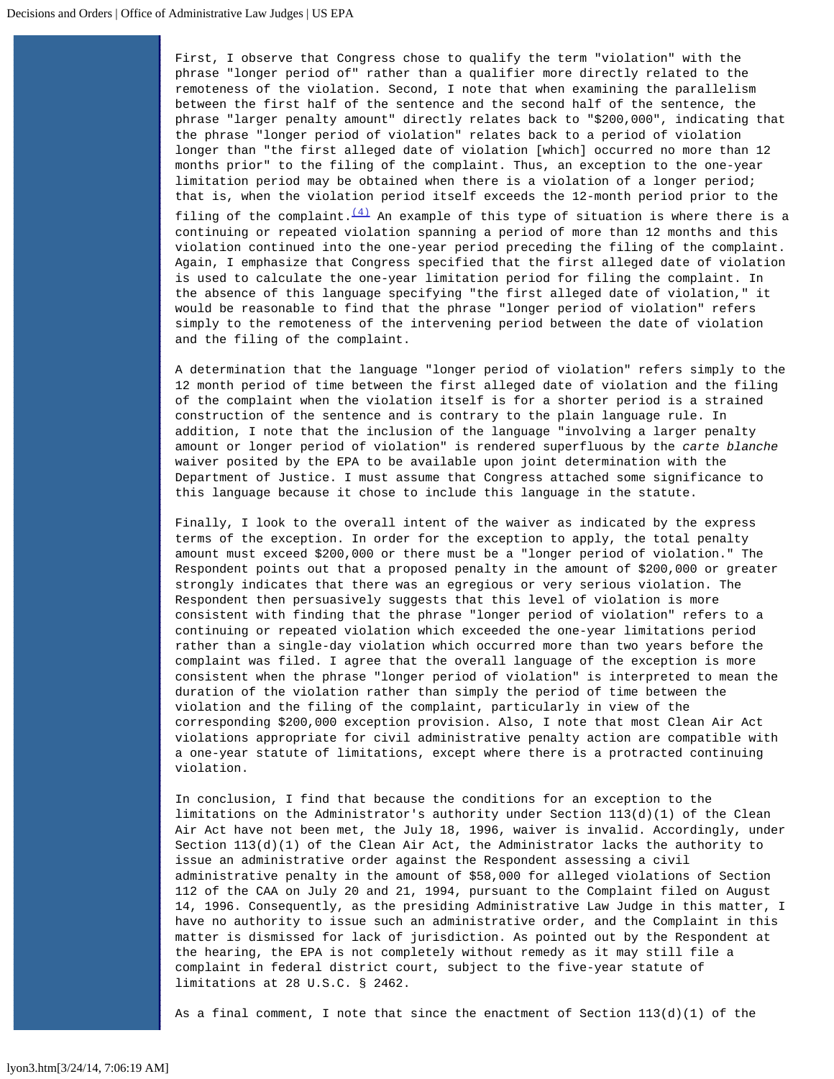First, I observe that Congress chose to qualify the term "violation" with the phrase "longer period of" rather than a qualifier more directly related to the remoteness of the violation. Second, I note that when examining the parallelism between the first half of the sentence and the second half of the sentence, the phrase "larger penalty amount" directly relates back to "\$200,000", indicating that the phrase "longer period of violation" relates back to a period of violation longer than "the first alleged date of violation [which] occurred no more than 12 months prior" to the filing of the complaint. Thus, an exception to the one-year limitation period may be obtained when there is a violation of a longer period; that is, when the violation period itself exceeds the 12-month period prior to the

filing of the complaint.  $\frac{(4)}{4}$  $\frac{(4)}{4}$  $\frac{(4)}{4}$  An example of this type of situation is where there is a continuing or repeated violation spanning a period of more than 12 months and this violation continued into the one-year period preceding the filing of the complaint. Again, I emphasize that Congress specified that the first alleged date of violation is used to calculate the one-year limitation period for filing the complaint. In the absence of this language specifying "the first alleged date of violation," it would be reasonable to find that the phrase "longer period of violation" refers simply to the remoteness of the intervening period between the date of violation and the filing of the complaint.

A determination that the language "longer period of violation" refers simply to the 12 month period of time between the first alleged date of violation and the filing of the complaint when the violation itself is for a shorter period is a strained construction of the sentence and is contrary to the plain language rule. In addition, I note that the inclusion of the language "involving a larger penalty amount or longer period of violation" is rendered superfluous by the *carte blanche* waiver posited by the EPA to be available upon joint determination with the Department of Justice. I must assume that Congress attached some significance to this language because it chose to include this language in the statute.

Finally, I look to the overall intent of the waiver as indicated by the express terms of the exception. In order for the exception to apply, the total penalty amount must exceed \$200,000 or there must be a "longer period of violation." The Respondent points out that a proposed penalty in the amount of \$200,000 or greater strongly indicates that there was an egregious or very serious violation. The Respondent then persuasively suggests that this level of violation is more consistent with finding that the phrase "longer period of violation" refers to a continuing or repeated violation which exceeded the one-year limitations period rather than a single-day violation which occurred more than two years before the complaint was filed. I agree that the overall language of the exception is more consistent when the phrase "longer period of violation" is interpreted to mean the duration of the violation rather than simply the period of time between the violation and the filing of the complaint, particularly in view of the corresponding \$200,000 exception provision. Also, I note that most Clean Air Act violations appropriate for civil administrative penalty action are compatible with a one-year statute of limitations, except where there is a protracted continuing violation.

In conclusion, I find that because the conditions for an exception to the limitations on the Administrator's authority under Section 113(d)(1) of the Clean Air Act have not been met, the July 18, 1996, waiver is invalid. Accordingly, under Section 113(d)(1) of the Clean Air Act, the Administrator lacks the authority to issue an administrative order against the Respondent assessing a civil administrative penalty in the amount of \$58,000 for alleged violations of Section 112 of the CAA on July 20 and 21, 1994, pursuant to the Complaint filed on August 14, 1996. Consequently, as the presiding Administrative Law Judge in this matter, I have no authority to issue such an administrative order, and the Complaint in this matter is dismissed for lack of jurisdiction. As pointed out by the Respondent at the hearing, the EPA is not completely without remedy as it may still file a complaint in federal district court, subject to the five-year statute of limitations at 28 U.S.C. § 2462.

As a final comment, I note that since the enactment of Section  $113(d)(1)$  of the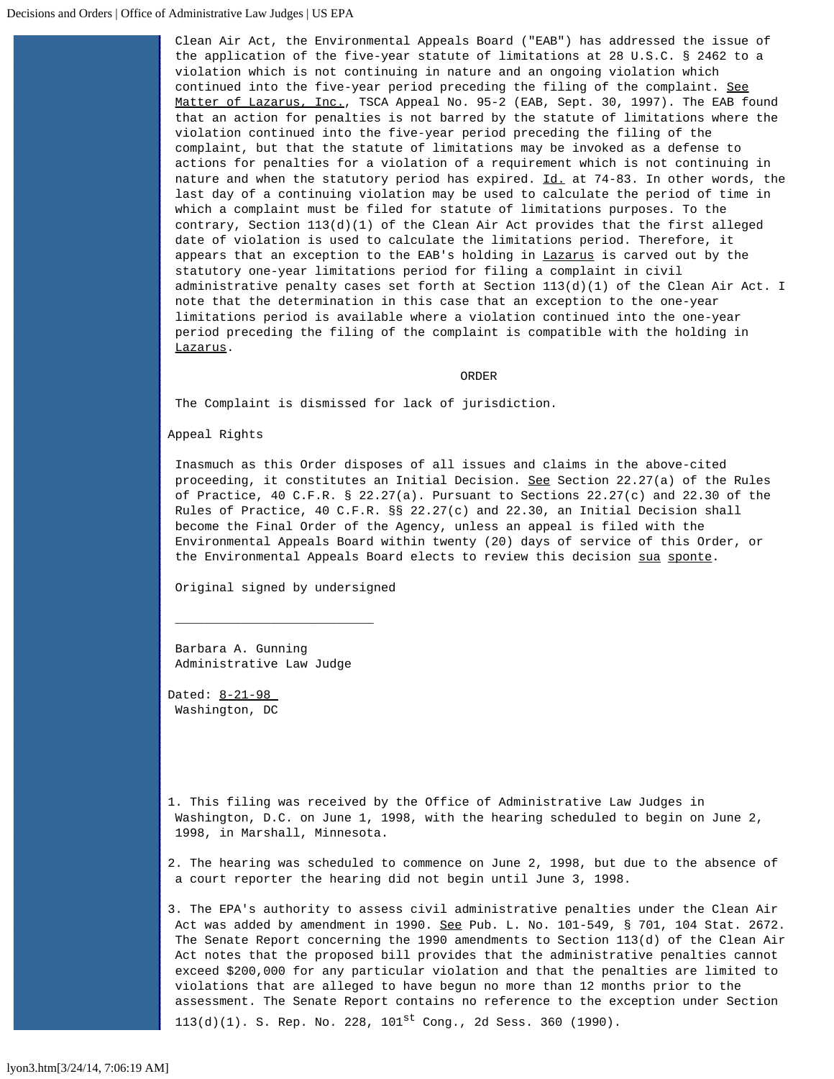Clean Air Act, the Environmental Appeals Board ("EAB") has addressed the issue of the application of the five-year statute of limitations at 28 U.S.C. § 2462 to a violation which is not continuing in nature and an ongoing violation which continued into the five-year period preceding the filing of the complaint. See Matter of Lazarus, Inc., TSCA Appeal No. 95-2 (EAB, Sept. 30, 1997). The EAB found that an action for penalties is not barred by the statute of limitations where the violation continued into the five-year period preceding the filing of the complaint, but that the statute of limitations may be invoked as a defense to actions for penalties for a violation of a requirement which is not continuing in nature and when the statutory period has expired. Id. at 74-83. In other words, the last day of a continuing violation may be used to calculate the period of time in which a complaint must be filed for statute of limitations purposes. To the contrary, Section 113(d)(1) of the Clean Air Act provides that the first alleged date of violation is used to calculate the limitations period. Therefore, it appears that an exception to the EAB's holding in Lazarus is carved out by the statutory one-year limitations period for filing a complaint in civil administrative penalty cases set forth at Section 113(d)(1) of the Clean Air Act. I note that the determination in this case that an exception to the one-year limitations period is available where a violation continued into the one-year period preceding the filing of the complaint is compatible with the holding in Lazarus.

## ORDER

The Complaint is dismissed for lack of jurisdiction.

Appeal Rights

Inasmuch as this Order disposes of all issues and claims in the above-cited proceeding, it constitutes an Initial Decision. See Section 22.27(a) of the Rules of Practice, 40 C.F.R. § 22.27(a). Pursuant to Sections 22.27(c) and 22.30 of the Rules of Practice, 40 C.F.R. §§ 22.27(c) and 22.30, an Initial Decision shall become the Final Order of the Agency, unless an appeal is filed with the Environmental Appeals Board within twenty (20) days of service of this Order, or the Environmental Appeals Board elects to review this decision sua sponte.

Original signed by undersigned

 $\overline{\phantom{a}}$  , and the contract of the contract of the contract of the contract of the contract of the contract of the contract of the contract of the contract of the contract of the contract of the contract of the contrac

Barbara A. Gunning Administrative Law Judge

Dated: 8-21-98 Washington, DC

<span id="page-6-0"></span>1. This filing was received by the Office of Administrative Law Judges in Washington, D.C. on June 1, 1998, with the hearing scheduled to begin on June 2, 1998, in Marshall, Minnesota.

<span id="page-6-1"></span>2. The hearing was scheduled to commence on June 2, 1998, but due to the absence of a court reporter the hearing did not begin until June 3, 1998.

<span id="page-6-2"></span>3. The EPA's authority to assess civil administrative penalties under the Clean Air Act was added by amendment in 1990. See Pub. L. No. 101-549, § 701, 104 Stat. 2672. The Senate Report concerning the 1990 amendments to Section 113(d) of the Clean Air Act notes that the proposed bill provides that the administrative penalties cannot exceed \$200,000 for any particular violation and that the penalties are limited to violations that are alleged to have begun no more than 12 months prior to the assessment. The Senate Report contains no reference to the exception under Section  $113(d)(1)$ . S. Rep. No. 228,  $101^{st}$  Cong., 2d Sess. 360 (1990).